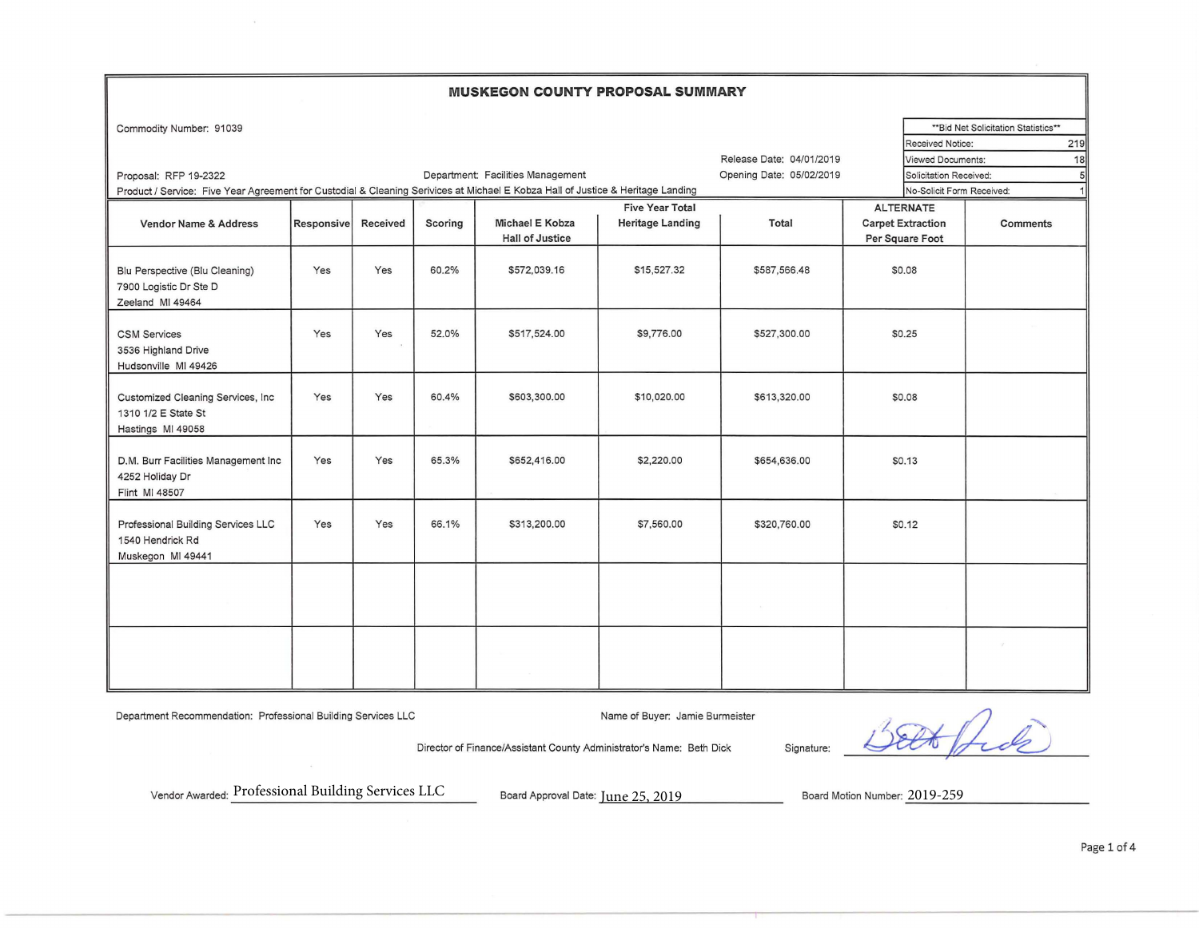## **MUSKEGON COUNTY PROPOSAL SUMMARY**

| Commodity Number: 91039                                                                                                         |                   |          |         |                                   |                         |                          |                          |                           | ** Bid Net Solicitation Statistics** |
|---------------------------------------------------------------------------------------------------------------------------------|-------------------|----------|---------|-----------------------------------|-------------------------|--------------------------|--------------------------|---------------------------|--------------------------------------|
|                                                                                                                                 |                   |          |         |                                   |                         |                          |                          | <b>Received Notice:</b>   | 219                                  |
|                                                                                                                                 |                   |          |         |                                   |                         | Release Date: 04/01/2019 |                          | Viewed Documents:         | 18                                   |
| Proposal: RFP 19-2322                                                                                                           |                   |          |         | Department: Facilities Management |                         | Opening Date: 05/02/2019 |                          | Solicitation Received:    | 5                                    |
| Product / Service: Five Year Agreement for Custodial & Cleaning Serivices at Michael E Kobza Hall of Justice & Heritage Landing |                   |          |         |                                   |                         |                          |                          | No-Solicit Form Received: | 1                                    |
|                                                                                                                                 |                   |          |         |                                   | <b>Five Year Total</b>  |                          | <b>ALTERNATE</b>         |                           |                                      |
| <b>Vendor Name &amp; Address</b>                                                                                                | <b>Responsive</b> | Received | Scoring | Michael E Kobza                   | <b>Heritage Landing</b> | Total                    | <b>Carpet Extraction</b> |                           | Comments                             |
|                                                                                                                                 |                   |          |         | <b>Hall of Justice</b>            |                         |                          | Per Square Foot          |                           |                                      |
|                                                                                                                                 |                   |          |         |                                   |                         |                          |                          |                           |                                      |
| Blu Perspective (Blu Cleaning)                                                                                                  | Yes               | Yes      | 60.2%   | \$572,039.16                      | \$15,527.32             | \$587,566.48             | \$0.08                   |                           |                                      |
| 7900 Logistic Dr Ste D                                                                                                          |                   |          |         |                                   |                         |                          |                          |                           |                                      |
| Zeeland MI 49464                                                                                                                |                   |          |         |                                   |                         |                          |                          |                           |                                      |
|                                                                                                                                 |                   |          |         |                                   |                         |                          |                          |                           |                                      |
| <b>CSM Services</b>                                                                                                             | Yes               | Yes      | 52.0%   | \$517,524.00                      | \$9,776.00              | \$527,300.00             | \$0.25                   |                           |                                      |
| 3536 Highland Drive                                                                                                             |                   |          |         |                                   |                         |                          |                          |                           |                                      |
| Hudsonville MI 49426                                                                                                            |                   |          |         |                                   |                         |                          |                          |                           |                                      |
|                                                                                                                                 | Yes               | Yes      | 60.4%   | \$603,300.00                      | \$10,020.00             | \$613,320.00             | \$0.08                   |                           |                                      |
| Customized Cleaning Services, Inc.<br>1310 1/2 E State St                                                                       |                   |          |         |                                   |                         |                          |                          |                           |                                      |
|                                                                                                                                 |                   |          |         |                                   |                         |                          |                          |                           |                                      |
| Hastings MI 49058                                                                                                               |                   |          |         |                                   |                         |                          |                          |                           |                                      |
| D.M. Burr Facilities Management Inc                                                                                             | Yes               | Yes      | 65.3%   | \$652,416.00                      | \$2,220.00              | \$654,636.00             | \$0.13                   |                           |                                      |
| 4252 Holiday Dr                                                                                                                 |                   |          |         |                                   |                         |                          |                          |                           |                                      |
| Flint MI 48507                                                                                                                  |                   |          |         |                                   |                         |                          |                          |                           |                                      |
|                                                                                                                                 |                   |          |         |                                   |                         |                          |                          |                           |                                      |
| Professional Building Services LLC                                                                                              | Yes               | Yes      | 66.1%   | \$313,200.00                      | \$7,560.00              | \$320,760.00             | \$0.12                   |                           |                                      |
| 1540 Hendrick Rd                                                                                                                |                   |          |         |                                   |                         |                          |                          |                           |                                      |
| Muskegon MI 49441                                                                                                               |                   |          |         |                                   |                         |                          |                          |                           |                                      |
|                                                                                                                                 |                   |          |         |                                   |                         |                          |                          |                           |                                      |
|                                                                                                                                 |                   |          |         |                                   |                         |                          |                          |                           |                                      |
|                                                                                                                                 |                   |          |         |                                   |                         |                          |                          |                           |                                      |
|                                                                                                                                 |                   |          |         |                                   |                         |                          |                          |                           |                                      |
|                                                                                                                                 |                   |          |         |                                   |                         |                          |                          |                           |                                      |
|                                                                                                                                 |                   |          |         |                                   |                         |                          |                          |                           | $\mathcal{T}$                        |
|                                                                                                                                 |                   |          |         |                                   |                         |                          |                          |                           |                                      |
|                                                                                                                                 |                   |          |         |                                   |                         |                          |                          |                           |                                      |

Department Recommendation: Professional Building Services LLC Name of Buyer: Jamie Burmeister

hole

Director of Finance/Assistant County Administrator's Name: Beth Dick Signature:

Vendor Awarded: Professional Building Services LLC

Board Approval Date: June 25, 2019 Board Motion Number: 2019-259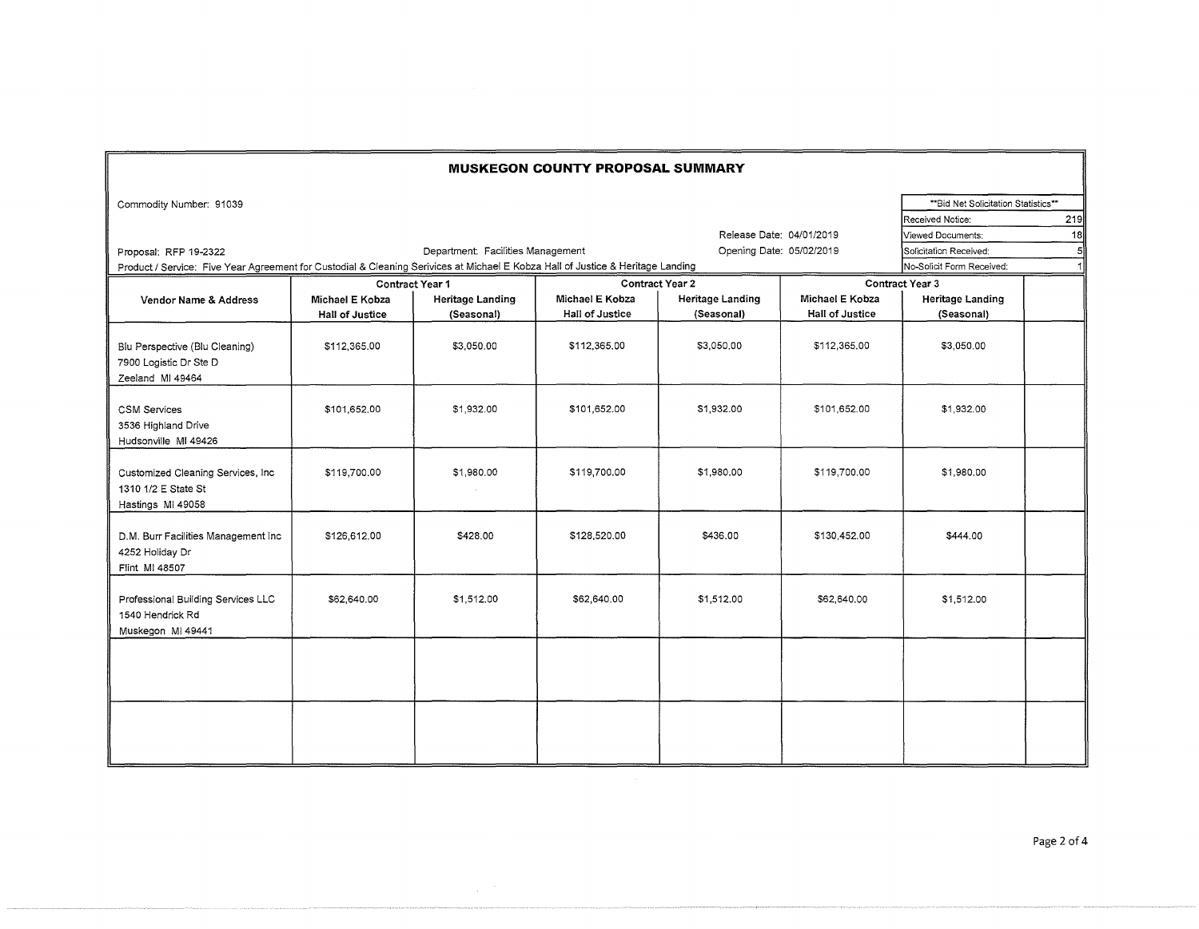| <b>MUSKEGON COUNTY PROPOSAL SUMMARY</b>                                        |                                                                                                                                 |                         |                 |                          |                        |                                     |     |  |
|--------------------------------------------------------------------------------|---------------------------------------------------------------------------------------------------------------------------------|-------------------------|-----------------|--------------------------|------------------------|-------------------------------------|-----|--|
| Commodity Number: 91039                                                        |                                                                                                                                 |                         |                 |                          |                        | **Bid Net Solicitation Statistics** |     |  |
|                                                                                |                                                                                                                                 |                         |                 |                          |                        | Received Notice:                    | 219 |  |
|                                                                                |                                                                                                                                 |                         |                 | Release Date: 04/01/2019 |                        | Viewed Documents:                   | 18  |  |
| Proposal: RFP 19-2322                                                          | Opening Date: 05/02/2019                                                                                                        | Solicitation Received:  |                 |                          |                        |                                     |     |  |
|                                                                                | Product / Service: Five Year Agreement for Custodial & Cleaning Serivices at Michael E Kobza Hall of Justice & Heritage Landing |                         |                 |                          |                        |                                     |     |  |
|                                                                                |                                                                                                                                 | <b>Contract Year 1</b>  |                 | <b>Contract Year 2</b>   |                        | Contract Year 3                     |     |  |
| Vendor Name & Address                                                          | Michael E Kobza                                                                                                                 | <b>Heritage Landing</b> | Michael E Kobza | <b>Heritage Landing</b>  | Michael E Kobza        | <b>Heritage Landing</b>             |     |  |
|                                                                                | <b>Hall of Justice</b>                                                                                                          | (Seasonal)              | Hall of Justice | (Seasonal)               | <b>Hall of Justice</b> | (Seasonal)                          |     |  |
| Blu Perspective (Blu Cleaning)<br>7900 Logistic Dr Ste D<br>Zeeland MI 49464   | \$112,365.00                                                                                                                    | \$3,050.00              | \$112,365.00    | \$3,050,00               | \$112,365,00           | \$3,050.00                          |     |  |
| <b>CSM Services</b><br>3536 Highland Drive<br>Hudsonville MI 49426             | \$101,652.00                                                                                                                    | \$1,932.00              | \$101,652.00    | \$1,932.00               | \$101,652.00           | \$1,932.00                          |     |  |
| Customized Cleaning Services, Inc.<br>1310 1/2 E State St<br>Hastings MI 49058 | \$119,700.00                                                                                                                    | \$1,980.00              | \$119,700.00    | \$1,980.00               | \$119,700.00           | \$1,980.00                          |     |  |
| D.M. Burr Facilities Management Inc<br>4252 Holiday Dr<br>Flint MI 48507       | \$126,612.00                                                                                                                    | \$428.00                | \$128,520.00    | \$436.00                 | \$130,452.00           | \$444.00                            |     |  |
| Professional Building Services LLC<br>1540 Hendrick Rd<br>Muskegon MI 49441    | \$62,640.00                                                                                                                     | \$1,512.00              | \$62,640.00     | \$1,512.00               | \$62,640.00            | \$1,512.00                          |     |  |
|                                                                                |                                                                                                                                 |                         |                 |                          |                        |                                     |     |  |
|                                                                                |                                                                                                                                 |                         |                 |                          |                        |                                     |     |  |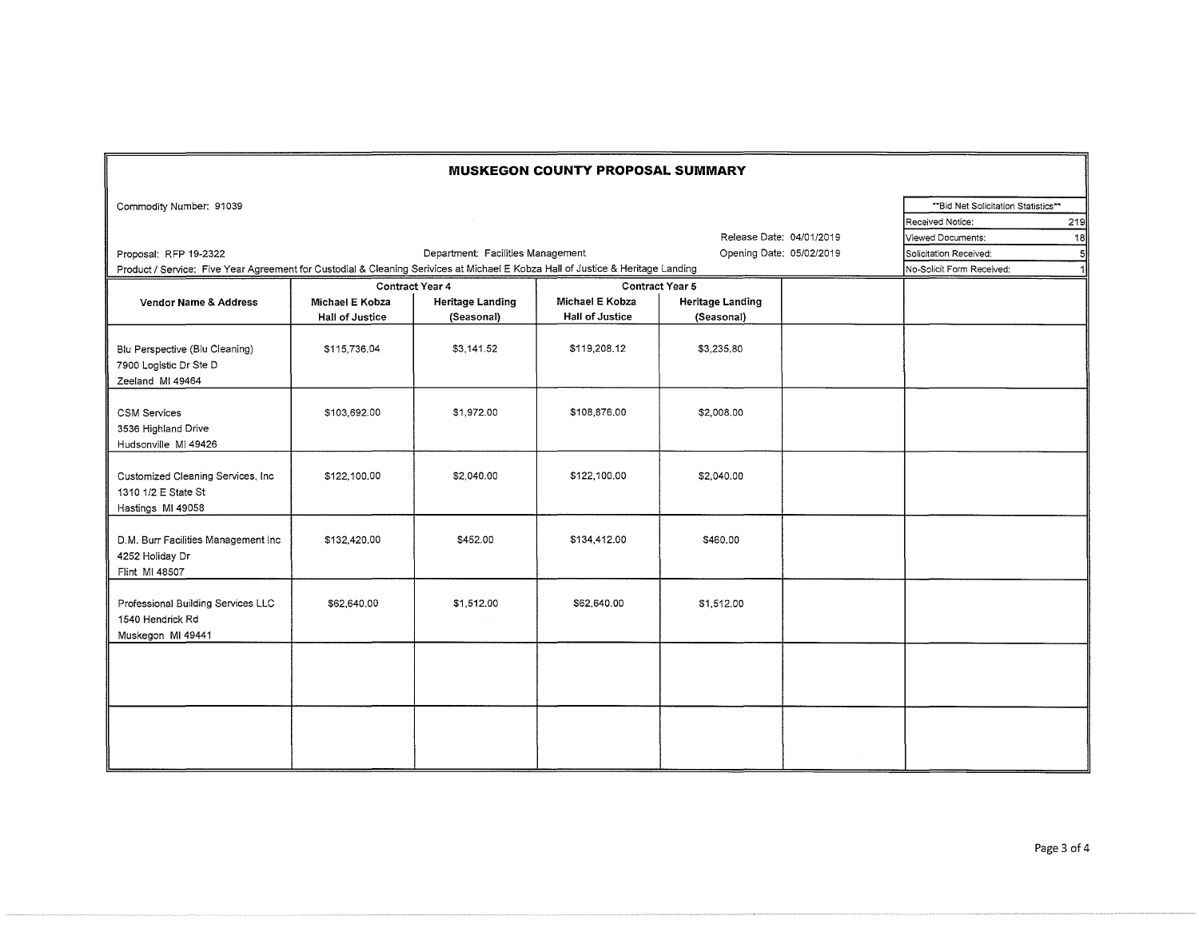| <b>MUSKEGON COUNTY PROPOSAL SUMMARY</b>                                                                                                                                                           |                                                               |                                      |                        |                         |  |  |  |  |
|---------------------------------------------------------------------------------------------------------------------------------------------------------------------------------------------------|---------------------------------------------------------------|--------------------------------------|------------------------|-------------------------|--|--|--|--|
| Commodity Number: 91039                                                                                                                                                                           |                                                               | ** Bid Net Solicitation Statistics** |                        |                         |  |  |  |  |
|                                                                                                                                                                                                   |                                                               | Received Notice:<br>219              |                        |                         |  |  |  |  |
|                                                                                                                                                                                                   | Release Date: 04/01/2019                                      | Viewed Documents:                    | 18                     |                         |  |  |  |  |
| Proposal: RFP 19-2322                                                                                                                                                                             | Opening Date: 05/02/2019                                      | Solicitation Received:               | $5 \vert$              |                         |  |  |  |  |
| Department: Facilities Management<br>Product / Service: Five Year Agreement for Custodial & Cleaning Serivices at Michael E Kobza Hall of Justice & Heritage Landing<br>No-Solicit Form Received: |                                                               |                                      |                        |                         |  |  |  |  |
|                                                                                                                                                                                                   |                                                               | Contract Year 4                      |                        |                         |  |  |  |  |
| Vendor Name & Address                                                                                                                                                                             | <b>Heritage Landing</b><br>Michael E Kobza<br>Michael E Kobza |                                      |                        | <b>Heritage Landing</b> |  |  |  |  |
|                                                                                                                                                                                                   | <b>Hall of Justice</b>                                        | (Seasonal)                           | <b>Hall of Justice</b> | (Seasonal)              |  |  |  |  |
| Blu Perspective (Blu Cleaning)<br>7900 Logistic Dr Ste D<br>Zeeland MI 49464                                                                                                                      | \$115,736.04                                                  | \$3.141.52                           | \$119,208.12           | \$3,235,80              |  |  |  |  |
| <b>CSM Services</b><br>3536 Highland Drive<br>Hudsonville MI 49426                                                                                                                                | \$103,692.00                                                  | \$1,972.00                           | \$108,876.00           | \$2,008.00              |  |  |  |  |
| Customized Cleaning Services, Inc.<br>1310 1/2 E State St<br>Hastings MI 49058                                                                                                                    | \$122,100.00                                                  | \$2,040.00                           | \$122,100.00           | \$2,040.00              |  |  |  |  |
| D.M. Burr Facilities Management Inc<br>4252 Holiday Dr<br>Flint MI 48507                                                                                                                          | \$132,420.00                                                  | \$452.00                             | \$134,412.00           | \$460.00                |  |  |  |  |
| Professional Building Services LLC<br>1540 Hendrick Rd<br>Muskegon MI 49441                                                                                                                       | \$62,640.00                                                   | \$1,512.00                           | \$62,640.00            | \$1,512.00              |  |  |  |  |
|                                                                                                                                                                                                   |                                                               |                                      |                        |                         |  |  |  |  |
|                                                                                                                                                                                                   |                                                               |                                      |                        |                         |  |  |  |  |